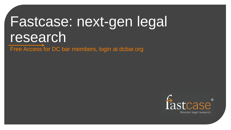# Fastcase: next-gen legal research

Free Access for DC bar members, login at dcbar.org

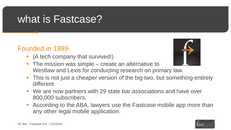# what is Fastcase?

#### Founded in 1999

• (A tech company that survived!)



- The mission was simple create an alternative to Westlaw and Lexis for conducting research on primary law.
- This is not just a cheaper version of the big two, but something entirely different.
- We are now partners with 29 state bar associations and have over 800,000 subscribers.
- According to the ABA, lawyers use the Fastcase mobile app more than any other legal mobile application.

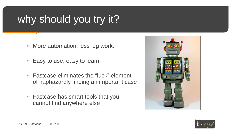# why should you try it?

- **More automation, less leg work.**
- **Easy to use, easy to learn**
- **Fastcase eliminates the "luck" element** of haphazardly finding an important case
- **Fastcase has smart tools that you** cannot find anywhere else



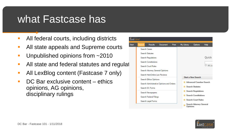### what Fastcase has

- All federal courts, including districts
- **All state appeals and Supreme courts**
- **Unpublished opinions from ~2010**
- **All state and federal statutes and regulat**
- **All LexBlog content (Fastcase 7 only)**
- DC Bar exclusive content ethics opinions, AG opinions, disciplinary rulings



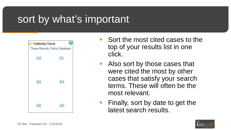# sort by what's important



- Sort the most cited cases to the top of your results list in one click.
- **Also sort by those cases that** were cited the most by other cases that satisfy your search terms. These will often be the most relevant.
- Finally, sort by date to get the latest search results.

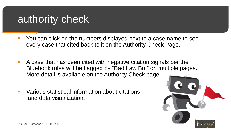## authority check

- You can click on the numbers displayed next to a case name to see every case that cited back to it on the Authority Check Page.
- A case that has been cited with negative citation signals per the Bluebook rules will be flagged by "Bad Law Bot" on multiple pages. More detail is available on the Authority Check page.
- **URIOUS Statistical information about citations** and data visualization.

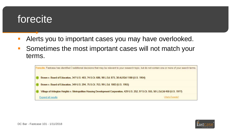# forecite

- Alerts you to important cases you may have overlooked.
- Sometimes the most important cases will not match your terms.

| Forecite: Fastcase has identified 3 additional decisions that may be relevant to your research topic, but do not contain one or more of your search terms. |  |  |
|------------------------------------------------------------------------------------------------------------------------------------------------------------|--|--|
| Brown v. Board of Education, 347 U.S. 483, 74 S.Ct. 686, 98 L.Ed. 873, 38 ALR2d 1180 (U.S. 1954)                                                           |  |  |
| Brown v. Board of Education, 349 U.S. 294, 75 S.Ct. 753, 99 L.Ed. 1083 (U.S. 1955)                                                                         |  |  |
| Village of Arlington Heights v. Metropolitan Housing Development Corporation, 429 U.S. 252, 97 S.Ct. 555, 50 L.Ed.2d 450 (U.S. 1977)                       |  |  |
| What's Forecite?<br>Expand all results                                                                                                                     |  |  |

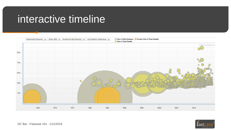#### interactive timeline



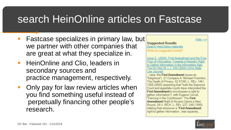# search HeinOnline articles on Fastcase

- Fastcase specializes in primary law, but we partner with other companies that are great at what they specialize in.
- **HeinOnline and Clio, leaders in** secondary sources and practice management, respectively.
- **Only pay for law review articles when** you find something useful instead of perpetually financing other people's research.



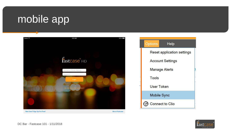# mobile app





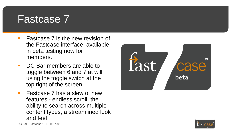#### Fastcase 7

- **Fastcase 7 is the new revision of** the Fastcase interface, available in beta testing now for members.
- DC Bar members are able to toggle between 6 and 7 at will using the toggle switch at the top right of the screen.
- **Fastcase 7 has a slew of new** features - endless scroll, the ability to search across multiple content types, a streamlined look and feel



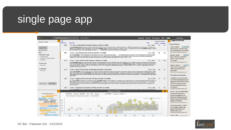# single page app



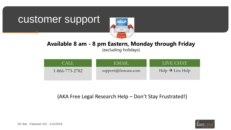#### customer support



#### **Available 8 am - 8 pm Eastern, Monday through Friday**

(excluding holidays)

| CALL <sup>1</sup>      | EMAIL                | LIVE CHAT!                                 |
|------------------------|----------------------|--------------------------------------------|
| $1 - 866 - 773 - 2782$ | support@fastcase.com | $\text{Help} \rightarrow \text{Live Help}$ |

(AKA Free Legal Research Help - Don't Stay Frustrated!)